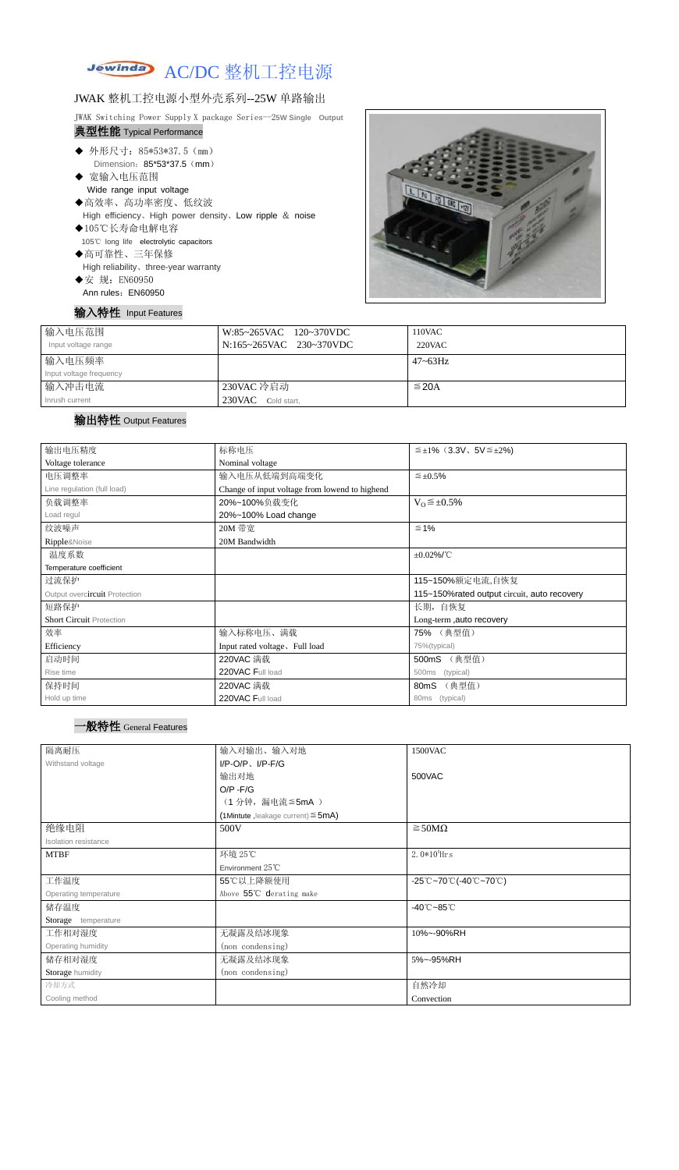#### **Jewinda** AC/DC 整机工控电源

#### JWAK 整机工控电源小型外壳系列--25W 单路输出

JWAK Switching Power Supply X package Series--2**5W Single Output** 典型性能 Typical Performance

# ◆ 外形尺寸: 85\*53\*37.5 (mm)

Dimension: 85\*53\*37.5 (mm)

- ◆ 宽输入电压范围 Wide range input voltage
- ◆高效率、高功率密度、低纹波 High efficiency、High power density、Low ripple & noise
- ◆105℃长寿命电解电容
- 105℃ long life electrolytic capacitors
- ◆高可靠性、三年保修 High reliability、three-year warranty
- ◆安 规: EN60950 Ann rules: EN60950

#### 输入特性 Input Features



| 输入电压范围<br>Input voltage range | W:85~265VAC 120~370VDC<br>N:165~265VAC 230~370VDC | 110VAC<br>$220$ VAC |
|-------------------------------|---------------------------------------------------|---------------------|
| 输入电压频率                        |                                                   | $47 - 63$ Hz        |
| Input voltage frequency       |                                                   |                     |
| 输入冲击电流                        | 230VAC 冷启动                                        | $\leq$ 20A          |
| Inrush current                | 230VAC Cold start,                                |                     |

## 输出特性 Output Features

| 输出电压精度                          | 标称电压                                           | $\leq \pm 1\%$ (3.3V, 5V $\leq \pm 2\%$ ) |  |
|---------------------------------|------------------------------------------------|-------------------------------------------|--|
| Voltage tolerance               | Nominal voltage                                |                                           |  |
| 电压调整率                           | 输入电压从低端到高端变化                                   | $\leq \pm 0.5\%$                          |  |
| Line regulation (full load)     | Change of input voltage from lowend to highend |                                           |  |
| 负载调整率                           | 20%~100%负载变化                                   | $V_0 \leq \pm 0.5\%$                      |  |
| Load regul                      | 20%~100% Load change                           |                                           |  |
| 纹波噪声                            | 20M 带宽                                         | $\leq 1\%$                                |  |
| Ripple&Noise                    | 20M Bandwidth                                  |                                           |  |
| 温度系数                            | $\pm 0.02\%$ /°C                               |                                           |  |
| Temperature coefficient         |                                                |                                           |  |
| 过流保护                            | 115~150%额定电流,自恢复                               |                                           |  |
| Output overcircuit Protection   | 115~150% rated output circuit, auto recovery   |                                           |  |
| 短路保护                            | 长期,自恢复                                         |                                           |  |
| <b>Short Circuit Protection</b> |                                                | Long-term, auto recovery                  |  |
| 效率                              | 输入标称电压、满载                                      | 75% (典型值)                                 |  |
| Efficiency                      | Input rated voltage, Full load                 | 75%(typical)                              |  |
| 启动时间                            | 220VAC 满载                                      | (典型值)<br>500mS                            |  |
| Rise time                       | 220VAC Full load                               | (typical)<br>500ms                        |  |
| 保持时间                            | 220VAC 满载                                      | (典型值)<br>80mS                             |  |
| Hold up time                    | 220VAC Full load                               | (typical)<br>80 <sub>ms</sub>             |  |

| 隔离耐压                  | 输入对输出、输入对地                              | 1500VAC                                                                               |  |
|-----------------------|-----------------------------------------|---------------------------------------------------------------------------------------|--|
| Withstand voltage     | $I/P-O/P$ , $I/P-F/G$                   |                                                                                       |  |
|                       | 输出对地                                    | 500VAC                                                                                |  |
|                       | $O/P - F/G$                             |                                                                                       |  |
|                       | (1分钟,漏电流 ≦5mA)                          |                                                                                       |  |
|                       | (1Mintute, leakage current) $\leq$ 5mA) |                                                                                       |  |
| 绝缘电阻                  | 500V                                    | $\geq$ 50M $\Omega$                                                                   |  |
| Isolation resistance  |                                         |                                                                                       |  |
| <b>MTBF</b>           | 环境 25℃                                  | 2. $0*10^5$ Hrs                                                                       |  |
|                       | Environment 25°C                        |                                                                                       |  |
| 工作温度                  | 55℃以上降额使用                               | $-25^{\circ}\text{C}-70^{\circ}\text{C}$ (-40 $^{\circ}\text{C}-70^{\circ}\text{C}$ ) |  |
| Operating temperature | Above 55°C derating make                |                                                                                       |  |
| 储存温度                  |                                         | $-40^{\circ}$ C $-85^{\circ}$ C                                                       |  |
| Storage temperature   |                                         |                                                                                       |  |
| 工作相对湿度                | 无凝露及结冰现象                                | 10%~-90%RH                                                                            |  |
| Operating humidity    | (non condensing)                        |                                                                                       |  |
| 储存相对湿度                | 无凝露及结冰现象                                | 5%~-95%RH                                                                             |  |
| Storage humidity      | (non condensing)                        |                                                                                       |  |
| 冷却方式                  |                                         | 自然冷却                                                                                  |  |
| Cooling method        |                                         | Convection                                                                            |  |